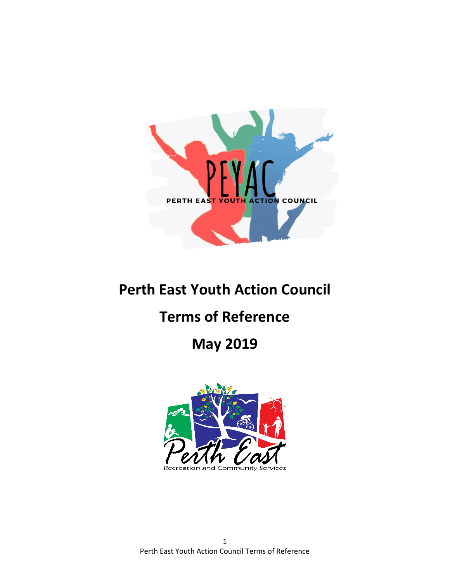

# **Perth East Youth Action Council**

# **Terms of Reference**

## **May 2019**



1 Perth East Youth Action Council Terms of Reference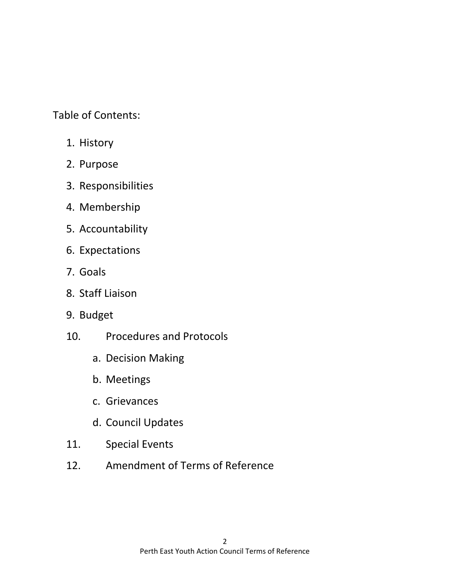Table of Contents:

- 1. History
- 2. Purpose
- 3. Responsibilities
- 4. Membership
- 5. Accountability
- 6. Expectations
- 7. Goals
- 8. Staff Liaison
- 9. Budget
- 10. Procedures and Protocols
	- a. Decision Making
	- b. Meetings
	- c. Grievances
	- d. Council Updates
- 11. Special Events
- 12. Amendment of Terms of Reference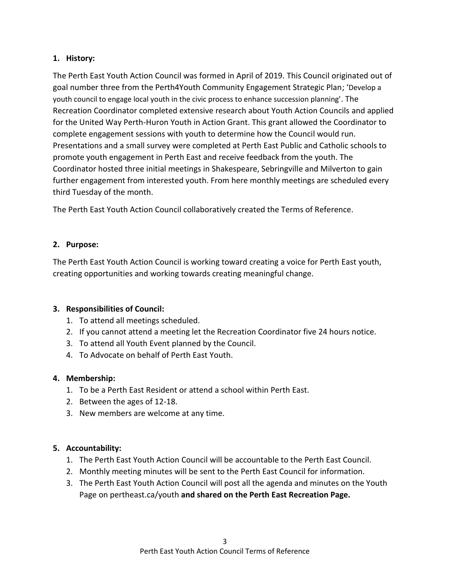#### **1. History:**

The Perth East Youth Action Council was formed in April of 2019. This Council originated out of goal number three from the Perth4Youth Community Engagement Strategic Plan; 'Develop a youth council to engage local youth in the civic process to enhance succession planning'. The Recreation Coordinator completed extensive research about Youth Action Councils and applied for the United Way Perth-Huron Youth in Action Grant. This grant allowed the Coordinator to complete engagement sessions with youth to determine how the Council would run. Presentations and a small survey were completed at Perth East Public and Catholic schools to promote youth engagement in Perth East and receive feedback from the youth. The Coordinator hosted three initial meetings in Shakespeare, Sebringville and Milverton to gain further engagement from interested youth. From here monthly meetings are scheduled every third Tuesday of the month.

The Perth East Youth Action Council collaboratively created the Terms of Reference.

### **2. Purpose:**

The Perth East Youth Action Council is working toward creating a voice for Perth East youth, creating opportunities and working towards creating meaningful change.

### **3. Responsibilities of Council:**

- 1. To attend all meetings scheduled.
- 2. If you cannot attend a meeting let the Recreation Coordinator five 24 hours notice.
- 3. To attend all Youth Event planned by the Council.
- 4. To Advocate on behalf of Perth East Youth.

#### **4. Membership:**

- 1. To be a Perth East Resident or attend a school within Perth East.
- 2. Between the ages of 12-18.
- 3. New members are welcome at any time.

#### **5. Accountability:**

- 1. The Perth East Youth Action Council will be accountable to the Perth East Council.
- 2. Monthly meeting minutes will be sent to the Perth East Council for information.
- 3. The Perth East Youth Action Council will post all the agenda and minutes on the Youth Page on pertheast.ca/youth **and shared on the Perth East Recreation Page.**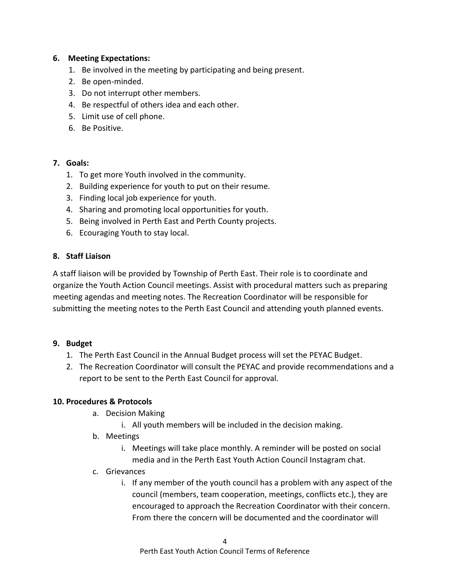#### **6. Meeting Expectations:**

- 1. Be involved in the meeting by participating and being present.
- 2. Be open-minded.
- 3. Do not interrupt other members.
- 4. Be respectful of others idea and each other.
- 5. Limit use of cell phone.
- 6. Be Positive.

#### **7. Goals:**

- 1. To get more Youth involved in the community.
- 2. Building experience for youth to put on their resume.
- 3. Finding local job experience for youth.
- 4. Sharing and promoting local opportunities for youth.
- 5. Being involved in Perth East and Perth County projects.
- 6. Ecouraging Youth to stay local.

#### **8. Staff Liaison**

A staff liaison will be provided by Township of Perth East. Their role is to coordinate and organize the Youth Action Council meetings. Assist with procedural matters such as preparing meeting agendas and meeting notes. The Recreation Coordinator will be responsible for submitting the meeting notes to the Perth East Council and attending youth planned events.

#### **9. Budget**

- 1. The Perth East Council in the Annual Budget process will set the PEYAC Budget.
- 2. The Recreation Coordinator will consult the PEYAC and provide recommendations and a report to be sent to the Perth East Council for approval.

#### **10. Procedures & Protocols**

- a. Decision Making
	- i. All youth members will be included in the decision making.
- b. Meetings
	- i. Meetings will take place monthly. A reminder will be posted on social media and in the Perth East Youth Action Council Instagram chat.
- c. Grievances
	- i. If any member of the youth council has a problem with any aspect of the council (members, team cooperation, meetings, conflicts etc.), they are encouraged to approach the Recreation Coordinator with their concern. From there the concern will be documented and the coordinator will